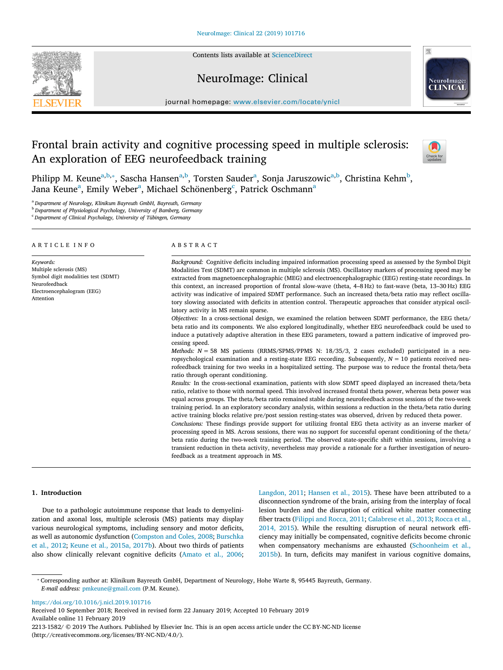Contents lists available at [ScienceDirect](http://www.sciencedirect.com/science/journal/22131582)







journal homepage: [www.elsevier.com/locate/ynicl](https://www.elsevier.com/locate/ynicl)

# Frontal brain activity and cognitive processing speed in multiple sclerosis: An exploration of EEG neurofeedback training



Philipp M. Keune<sup>[a](#page-0-0),[b](#page-0-1),</sup>\*, Sascha Hansen<sup>a[,b](#page-0-1)</sup>, Torsten Sauder<sup>a</sup>, Sonja Jaruszowic<sup>[a,](#page-0-0)b</sup>, Christina Kehm<sup>b</sup>, Jana Keune<sup>a</sup>, Emily Weber<sup>a</sup>, Mi[c](#page-0-3)h[a](#page-0-0)el Schönenberg<sup>c</sup>, Patrick Oschmann<sup>a</sup>

<span id="page-0-0"></span><sup>a</sup> *Department of Neurology, Klinikum Bayreuth GmbH, Bayreuth, Germany*

<span id="page-0-1"></span><sup>b</sup> *Department of Physiological Psychology, University of Bamberg, Germany*

<span id="page-0-3"></span><sup>c</sup> *Department of Clinical Psychology, University of Tübingen, Germany*

#### ARTICLE INFO

*Keywords:* Multiple sclerosis (MS) Symbol digit modalities test (SDMT) Neurofeedback Electroencephalogram (EEG) Attention

#### ABSTRACT

*Background:* Cognitive deficits including impaired information processing speed as assessed by the Symbol Digit Modalities Test (SDMT) are common in multiple sclerosis (MS). Oscillatory markers of processing speed may be extracted from magnetoencephalographic (MEG) and electroencephalographic (EEG) resting-state recordings. In this context, an increased proportion of frontal slow-wave (theta, 4–8 Hz) to fast-wave (beta, 13–30 Hz) EEG activity was indicative of impaired SDMT performance. Such an increased theta/beta ratio may refect oscillatory slowing associated with deficits in attention control. Therapeutic approaches that consider atypical oscillatory activity in MS remain sparse.

*Objectives:* In a cross-sectional design, we examined the relation between SDMT performance, the EEG theta/ beta ratio and its components. We also explored longitudinally, whether EEG neurofeedback could be used to induce a putatively adaptive alteration in these EEG parameters, toward a pattern indicative of improved processing speed.

*Methods: N* = 58 MS patients (RRMS/SPMS/PPMS N: 18/35/3, 2 cases excluded) participated in a neuropsychological examination and a resting-state EEG recording. Subsequently, *N* = 10 patients received neurofeedback training for two weeks in a hospitalized setting. The purpose was to reduce the frontal theta/beta ratio through operant conditioning.

*Results:* In the cross-sectional examination, patients with slow SDMT speed displayed an increased theta/beta ratio, relative to those with normal speed. This involved increased frontal theta power, whereas beta power was equal across groups. The theta/beta ratio remained stable during neurofeedback across sessions of the two-week training period. In an exploratory secondary analysis, within sessions a reduction in the theta/beta ratio during active training blocks relative pre/post session resting-states was observed, driven by reduced theta power.

*Conclusions:* These fndings provide support for utilizing frontal EEG theta activity as an inverse marker of processing speed in MS. Across sessions, there was no support for successful operant conditioning of the theta/ beta ratio during the two-week training period. The observed state-specifc shift within sessions, involving a transient reduction in theta activity, nevertheless may provide a rationale for a further investigation of neurofeedback as a treatment approach in MS.

## **1. Introduction**

Due to a pathologic autoimmune response that leads to demyelinization and axonal loss, multiple sclerosis (MS) patients may display various neurological symptoms, including sensory and motor deficits, as well as autonomic dysfunction ([Compston and Coles, 2008](#page-6-0); [Burschka](#page-6-1) [et al., 2012](#page-6-1); [Keune et al., 2015a, 2017b](#page-7-0)). About two thirds of patients also show clinically relevant cognitive deficits ([Amato et al., 2006](#page-6-2);

[Langdon, 2011;](#page-7-1) [Hansen et al., 2015](#page-6-3)). These have been attributed to a disconnection syndrome of the brain, arising from the interplay of focal lesion burden and the disruption of critical white matter connecting fber tracts [\(Filippi and Rocca, 2011](#page-6-4); [Calabrese et al., 2013](#page-6-5); [Rocca et al.,](#page-7-2)  $2014$ ,  $2015$ ). While the resulting disruption of neural network efficiency may initially be compensated, cognitive deficits become chronic when compensatory mechanisms are exhausted ([Schoonheim et al.,](#page-7-3) [2015b\)](#page-7-3). In turn, deficits may manifest in various cognitive domains,

<span id="page-0-2"></span>⁎ Corresponding author at: Klinikum Bayreuth GmbH, Department of Neurology, Hohe Warte 8, 95445 Bayreuth, Germany. *E-mail address:* [pmkeune@gmail.com](mailto:pmkeune@gmail.com) (P.M. Keune).

<https://doi.org/10.1016/j.nicl.2019.101716>

Received 10 September 2018; Received in revised form 22 January 2019; Accepted 10 February 2019 Available online 11 February 2019 2213-1582/ © 2019 The Authors. Published by Elsevier Inc. This is an open access article under the CC BY-NC-ND license (http://creativecommons.org/licenses/BY-NC-ND/4.0/).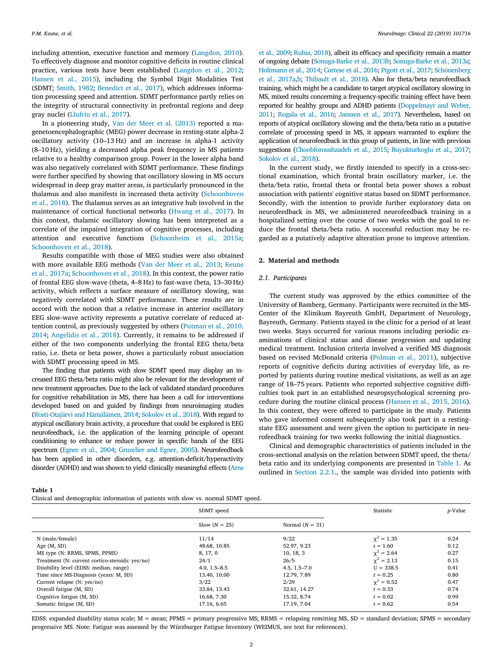including attention, executive function and memory [\(Langdon, 2010](#page-7-4)). To effectively diagnose and monitor cognitive deficits in routine clinical practice, various tests have been established ([Langdon et al., 2012](#page-7-5); [Hansen et al., 2015](#page-6-3)), including the Symbol Digit Modalities Test (SDMT; [Smith, 1982;](#page-7-6) [Benedict et al., 2017\)](#page-6-6), which addresses information processing speed and attention. SDMT performance partly relies on the integrity of structural connectivity in prefrontal regions and deep gray nuclei ([Llufriu et al., 2017](#page-7-7)).

In a pioneering study, [Van der Meer et al. \(2013\)](#page-7-8) reported a magenetoencephalographic (MEG) power decrease in resting-state alpha-2 oscillatory activity (10–13 Hz) and an increase in alpha-1 activity (8–10 Hz), yielding a decreased alpha peak frequency in MS patients relative to a healthy comparison group. Power in the lower alpha band was also negatively correlated with SDMT performance. These fndings were further specifed by showing that oscillatory slowing in MS occurs widespread in deep gray matter areas, is particularly pronounced in the thalamus and also manifests in increased theta activity ([Schoonhoven](#page-7-9) [et al., 2018\)](#page-7-9). The thalamus serves as an integrative hub involved in the maintenance of cortical functional networks [\(Hwang et al., 2017](#page-7-10)). In this context, thalamic oscillatory slowing has been interpreted as a correlate of the impaired integration of cognitive processes, including attention and executive functions [\(Schoonheim et al., 2015a](#page-7-11); [Schoonhoven et al., 2018](#page-7-9)).

Results compatible with those of MEG studies were also obtained with more available EEG methods ([Van der Meer et al., 2013](#page-7-8); [Keune](#page-7-12) [et al., 2017a](#page-7-12); [Schoonhoven et al., 2018\)](#page-7-9). In this context, the power ratio of frontal EEG slow-wave (theta, 4–8 Hz) to fast-wave (beta, 13–30 Hz) activity, which reflects a surface measure of oscillatory slowing, was negatively correlated with SDMT performance. These results are in accord with the notion that a relative increase in anterior oscillatory EEG slow-wave activity represents a putative correlate of reduced attention control, as previously suggested by others [\(Putman et al., 2010,](#page-7-13) [2014;](#page-7-13) [Angelidis et al., 2018](#page-6-7)). Currently, it remains to be addressed if either of the two components underlying the frontal EEG theta/beta ratio, i.e. theta or beta power, shows a particularly robust association with SDMT processing speed in MS.

The fnding that patients with slow SDMT speed may display an increased EEG theta/beta ratio might also be relevant for the development of new treatment approaches. Due to the lack of validated standard procedures for cognitive rehabilitation in MS, there has been a call for interventions developed based on and guided by fndings from neuroimaging studies [\(Rosti-Otajärvi and Hämäläinen, 2014;](#page-7-14) [Sokolov et al., 2018](#page-7-15)). With regard to atypical oscillatory brain activity, a procedure that could be explored is EEG neurofeedback, i.e. the application of the learning principle of operant conditioning to enhance or reduce power in specifc bands of the EEG spectrum [\(Egner et al., 2004](#page-6-8); [Gruzelier and Egner, 2005\)](#page-6-9). Neurofeedback has been applied in other disorders, e.g. attention-deficit/hyperactivity disorder (ADHD) and was shown to yield clinically meaningful effects [\(Arns](#page-6-10)

[et al., 2009](#page-6-10); [Rubia, 2018\)](#page-7-16), albeit its efficacy and specificity remain a matter of ongoing debate ([Sonuga-Barke et al., 2013b;](#page-7-17) [Sonuga-Barke et al., 2013a](#page-7-18); [Holtmann et al., 2014](#page-7-19); [Cortese et al., 2016](#page-6-11); [Pigott et al., 2017;](#page-7-20) [Schönenberg](#page-7-21) [et al., 2017a](#page-7-21)[,b](#page-7-22); [Thibault et al., 2018\)](#page-7-23). Also for theta/beta neurofeedback training, which might be a candidate to target atypical oscillatory slowing in MS, mixed results concerning a frequency-specific training effect have been reported for healthy groups and ADHD patients ([Doppelmayr and Weber,](#page-6-12) [2011;](#page-6-12) [Rogala et al., 2016;](#page-7-24) [Janssen et al., 2017\)](#page-7-25). Nevertheless, based on reports of atypical oscillatory slowing and the theta/beta ratio as a putative correlate of processing speed in MS, it appears warranted to explore the application of neurofeedback in this group of patients, in line with previous suggestions [\(Choobforoushzadeh et al., 2015;](#page-6-13) [Buyukturkoglu et al., 2017](#page-6-14); [Sokolov et al., 2018\)](#page-7-15).

In the current study, we frstly intended to specify in a cross-sectional examination, which frontal brain oscillatory marker, i.e. the theta/beta ratio, frontal theta or frontal beta power shows a robust association with patients' cognitive status based on SDMT performance. Secondly, with the intention to provide further exploratory data on neurofeedback in MS, we administered neurofeedback training in a hospitalized setting over the course of two weeks with the goal to reduce the frontal theta/beta ratio. A successful reduction may be regarded as a putatively adaptive alteration prone to improve attention.

## **2. Material and methods**

#### *2.1. Participants*

The current study was approved by the ethics committee of the University of Bamberg, Germany. Participants were recruited in the MS-Center of the Klinikum Bayreuth GmbH, Department of Neurology, Bayreuth, Germany. Patients stayed in the clinic for a period of at least two weeks. Stays occurred for various reasons including periodic examinations of clinical status and disease progression and updating medical treatment. Inclusion criteria involved a verifed MS diagnosis based on revised McDonald criteria ([Polman et al., 2011\)](#page-7-26), subjective reports of cognitive deficits during activities of everyday life, as reported by patients during routine medical visitations, as well as an age range of 18–75 years. Patients who reported subjective cognitive difficulties took part in an established neuropsychological screening procedure during the routine clinical process [\(Hansen et al., 2015, 2016](#page-6-3)). In this context, they were ofered to participate in the study. Patients who gave informed consent subsequently also took part in a restingstate EEG assessment and were given the option to participate in neurofeedback training for two weeks following the initial diagnostics.

Clinical and demographic characteristics of patients included in the cross-sectional analysis on the relation between SDMT speed, the theta/ beta ratio and its underlying components are presented in [Table 1](#page-1-0). As outlined in [Section 2.2.1](#page-2-0)., the sample was divided into patients with

<span id="page-1-0"></span>**Table 1**

Clinical and demographic information of patients with slow vs. normal SDMT speed.

|                                                 | SDMT speed       |                   |                   | p-Value |  |
|-------------------------------------------------|------------------|-------------------|-------------------|---------|--|
|                                                 | Slow $(N = 25)$  | Normal $(N = 31)$ |                   |         |  |
| N (male/female)                                 | 11/14            | 9/22              | $\gamma^2 = 1.35$ | 0.24    |  |
| Age $(M, SD)$                                   | 48.68, 10.85     | 52.97, 9.23       | $t = 1.60$        | 0.12    |  |
| MS type (N: RRMS, SPMS, PPMS)                   | 8, 17, 0         | 10, 18, 3         | $\gamma^2 = 2.64$ | 0.27    |  |
| Treatment (N: current cortico-steroids: yes/no) | 24/1             | 26/5              | $\gamma^2 = 2.13$ | 0.15    |  |
| Disability level (EDSS: median, range)          | $4.0, 1.5 - 8.5$ | $4.5, 1.5 - 7.0$  | $U = 338.5$       | 0.41    |  |
| Time since MS-Diagnosis (years: M, SD)          | 13.40, 10.00     | 12.79, 7.89       | $t = 0.25$        | 0.80    |  |
| Current relapse (N: yes/no)                     | 3/22             | 2/29              | $\gamma^2 = 0.52$ | 0.47    |  |
| Overall fatigue (M, SD)                         | 33.84, 13.43     | 32.61, 14.27      | $t = 0.33$        | 0.74    |  |
| Cognitive fatigue (M, SD)                       | 16.68, 7.30      | 15.32, 8.74       | $t = 0.02$        | 0.99    |  |
| Somatic fatigue (M, SD)                         | 17.16, 6.65      | 17.19, 7.04       | $t = 0.62$        | 0.54    |  |

EDSS: expanded disability status scale; M = mean; PPMS = primary progressive MS; RRMS = relapsing remitting MS, SD = standard deviation; SPMS = secondary progressive MS. Note: Fatigue was assessed by the Würzburger Fatigue Inventory (WEIMUS, see text for references).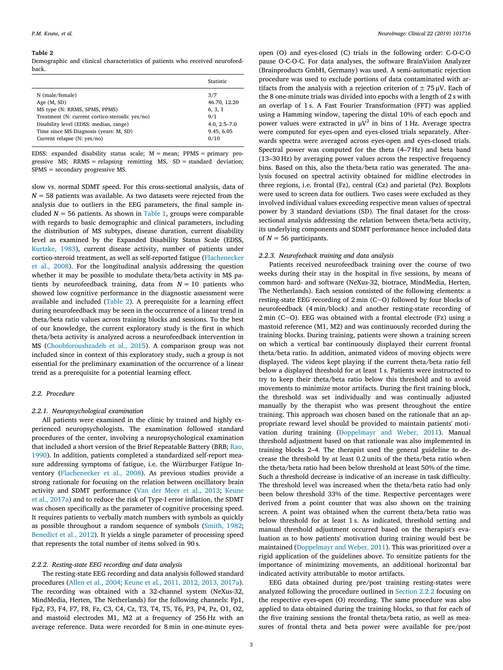#### <span id="page-2-1"></span>**Table 2**

Demographic and clinical characteristics of patients who received neurofeedback.

|                                                 | Statistic        |
|-------------------------------------------------|------------------|
| N (male/female)                                 | 3/7              |
| Age $(M, SD)$                                   | 46.70, 12.20     |
| MS type (N: RRMS, SPMS, PPMS)                   | 6, 3, 1          |
| Treatment (N: current cortico-steroids: yes/no) | 9/1              |
| Disability level (EDSS: median, range)          | $4.0, 2.5 - 7.0$ |
| Time since MS-Diagnosis (years: M, SD)          | 9.45, 6.05       |
| Current relapse (N: yes/no)                     | 0/10             |

EDSS: expanded disability status scale;  $M = \text{mean}$ ; PPMS = primary progressive MS; RRMS = relapsing remitting MS, SD = standard deviation; SPMS = secondary progressive MS.

slow vs. normal SDMT speed. For this cross-sectional analysis, data of  $N = 58$  patients was available. As two datasets were rejected from the analysis due to outliers in the EEG parameters, the final sample included  $N = 56$  patients. As shown in [Table 1,](#page-1-0) groups were comparable with regards to basic demographic and clinical parameters, including the distribution of MS subtypes, disease duration, current disability level as examined by the Expanded Disability Status Scale (EDSS, [Kurtzke, 1983\)](#page-7-27), current disease activity, number of patients under cortico-steroid treatment, as well as self-reported fatigue [\(Flachenecker](#page-6-15) [et al., 2008](#page-6-15)). For the longitudinal analysis addressing the question whether it may be possible to modulate theta/beta activity in MS patients by neurofeedback training, data from  $N = 10$  patients who showed low cognitive performance in the diagnostic assessment were available and included [\(Table 2](#page-2-1)). A prerequisite for a learning efect during neurofeedback may be seen in the occurrence of a linear trend in theta/beta ratio values across training blocks and sessions. To the best of our knowledge, the current exploratory study is the frst in which theta/beta activity is analyzed across a neurofeedback intervention in MS ([Choobforoushzadeh et al., 2015](#page-6-13)). A comparison group was not included since in context of this exploratory study, such a group is not essential for the preliminary examination of the occurrence of a linear trend as a prerequisite for a potential learning effect.

#### *2.2. Procedure*

### <span id="page-2-0"></span>*2.2.1. Neuropsychological examination*

All patients were examined in the clinic by trained and highly experienced neuropsychologists. The examination followed standard procedures of the center, involving a neuropsychological examination that included a short version of the Brief Repeatable Battery (BRB; [Rao,](#page-7-28) [1990\)](#page-7-28). In addition, patients completed a standardized self-report measure addressing symptoms of fatigue, i.e. the Würzburger Fatigue Inventory [\(Flachenecker et al., 2008](#page-6-15)). As previous studies provide a strong rationale for focusing on the relation between oscillatory brain activity and SDMT performance ([Van der Meer et al., 2013;](#page-7-8) [Keune](#page-7-12) [et al., 2017a\)](#page-7-12) and to reduce the risk of Type-I error infation, the SDMT was chosen specifcally as the parameter of cognitive processing speed. It requires patients to verbally match numbers with symbols as quickly as possible throughout a random sequence of symbols [\(Smith, 1982](#page-7-6); [Benedict et al., 2012\)](#page-6-16). It yields a single parameter of processing speed that represents the total number of items solved in 90 s.

### <span id="page-2-2"></span>*2.2.2. Resting-state EEG recording and data analysis*

The resting-state EEG recording and data analysis followed standard procedures ([Allen et al., 2004;](#page-6-17) [Keune et al., 2011, 2012, 2013, 2017a](#page-7-29)). The recording was obtained with a 32-channel system (NeXus-32, MindMedia, Herten, The Netherlands) for the following channels: Fp1, Fp2, F3, F4, F7, F8, Fz, C3, C4, Cz, T3, T4, T5, T6, P3, P4, Pz, O1, O2, and mastoid electrodes M1, M2 at a frequency of 256 Hz with an average reference. Data were recorded for 8 min in one-minute eyesopen (O) and eyes-closed (C) trials in the following order: C-O-C-O pause O-C-O-C. For data analyses, the software BrainVision Analyzer (Brainproducts GmbH, Germany) was used. A semi-automatic rejection procedure was used to exclude portions of data contaminated with artifacts from the analysis with a rejection criterion of  $\pm$  75 µV. Each of the 8 one-minute trials was divided into epochs with a length of 2 s with an overlap of 1 s. A Fast Fourier Transformation (FFT) was applied using a Hamming window, tapering the distal 10% of each epoch and power values were extracted in  $μV^2$  in bins of 1 Hz. Average spectra were computed for eyes-open and eyes-closed trials separately. Afterwards spectra were averaged across eyes-open and eyes-closed trials. Spectral power was computed for the theta (4–7 Hz) and beta band (13–30 Hz) by averaging power values across the respective frequency bins. Based on this, also the theta/beta ratio was generated. The analysis focused on spectral activity obtained for midline electrodes in three regions, i.e. frontal (Fz), central (Cz) and parietal (Pz). Boxplots were used to screen data for outliers. Two cases were excluded as they involved individual values exceeding respective mean values of spectral power by 3 standard deviations (SD). The fnal dataset for the crosssectional analysis addressing the relation between theta/beta activity, its underlying components and SDMT performance hence included data of  $N = 56$  participants.

### *2.2.3. Neurofeeback training and data analysis*

Patients received neurofeedback training over the course of two weeks during their stay in the hospital in five sessions, by means of common hard- and software (NeXus-32, biotrace, MindMedia, Herten, The Netherlands). Each session consisted of the following elements: a resting-state EEG recording of  $2 \text{ min } (C - O)$  followed by four blocks of neurofeedback (4 min/block) and another resting-state recording of  $2 \text{ min } (C - O)$ . EEG was obtained with a frontal electrode (Fz) using a mastoid reference (M1, M2) and was continuously recorded during the training blocks. During training, patients were shown a training screen on which a vertical bar continuously displayed their current frontal theta/beta ratio. In addition, animated videos of moving objects were displayed. The videos kept playing if the current theta/beta ratio fell below a displayed threshold for at least 1 s. Patients were instructed to try to keep their theta/beta ratio below this threshold and to avoid movements to minimize motor artifacts. During the frst training block, the threshold was set individually and was continually adjusted manually by the therapist who was present throughout the entire training. This approach was chosen based on the rationale that an appropriate reward level should be provided to maintain patients' motivation during training ([Doppelmayr and Weber, 2011\)](#page-6-12). Manual threshold adjustment based on that rationale was also implemented in training blocks 2–4. The therapist used the general guideline to decrease the threshold by at least 0.2 units of the theta/beta ratio when the theta/beta ratio had been below threshold at least 50% of the time. Such a threshold decrease is indicative of an increase in task difficulty. The threshold level was increased when the theta/beta ratio had only been below threshold 33% of the time. Respective percentages were derived from a point counter that was also shown on the training screen. A point was obtained when the current theta/beta ratio was below threshold for at least 1 s. As indicated, threshold setting and manual threshold adjustment occurred based on the therapist's evaluation as to how patients' motivation during training would best be maintained ([Doppelmayr and Weber, 2011\)](#page-6-12). This was prioritized over a rigid application of the guidelines above. To sensitize patients for the importance of minimizing movements, an additional horizontal bar indicated activity attributable to motor artifacts.

EEG data obtained during pre/post training resting-states were analyzed following the procedure outlined in [Section 2.2.2](#page-2-2) focusing on the respective eyes-open (O) recording. The same procedure was also applied to data obtained during the training blocks, so that for each of the five training sessions the frontal theta/beta ratio, as well as measures of frontal theta and beta power were available for pre/post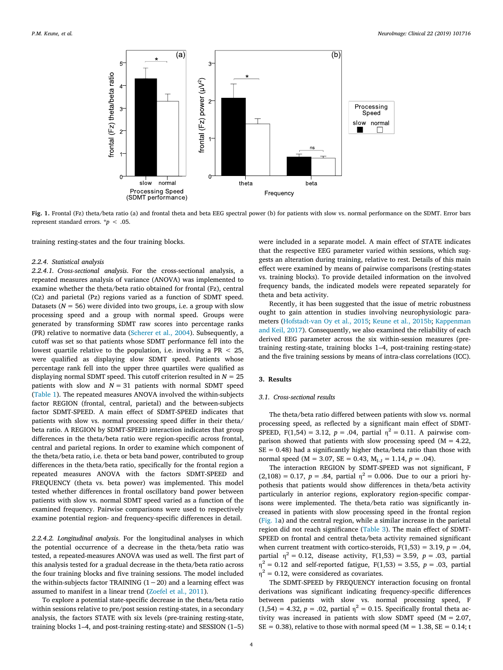<span id="page-3-0"></span>

**Fig. 1.** Frontal (Fz) theta/beta ratio (a) and frontal theta and beta EEG spectral power (b) for patients with slow vs. normal performance on the SDMT. Error bars represent standard errors.  $\dot{p}$  < .05.

training resting-states and the four training blocks.

## *2.2.4. Statistical analysis*

*2.2.4.1. Cross-sectional analysis*. For the cross-sectional analysis, a repeated measures analysis of variance (ANOVA) was implemented to examine whether the theta/beta ratio obtained for frontal (Fz), central (Cz) and parietal (Pz) regions varied as a function of SDMT speed. Datasets ( $N = 56$ ) were divided into two groups, i.e. a group with slow processing speed and a group with normal speed. Groups were generated by transforming SDMT raw scores into percentage ranks (PR) relative to normative data ([Scherer et al., 2004\)](#page-7-30). Subsequently, a cutoff was set so that patients whose SDMT performance fell into the lowest quartile relative to the population, i.e. involving a  $PR < 25$ , were qualifed as displaying slow SDMT speed. Patients whose percentage rank fell into the upper three quartiles were qualifed as displaying normal SDMT speed. This cutoff criterion resulted in  $N = 25$ patients with slow and  $N = 31$  patients with normal SDMT speed ([Table 1](#page-1-0)). The repeated measures ANOVA involved the within-subjects factor REGION (frontal, central, parietal) and the between-subjects factor SDMT-SPEED. A main efect of SDMT-SPEED indicates that patients with slow vs. normal processing speed difer in their theta/ beta ratio. A REGION by SDMT-SPEED interaction indicates that group diferences in the theta/beta ratio were region-specifc across frontal, central and parietal regions. In order to examine which component of the theta/beta ratio, i.e. theta or beta band power, contributed to group differences in the theta/beta ratio, specifically for the frontal region a repeated measures ANOVA with the factors SDMT-SPEED and FREQUENCY (theta vs. beta power) was implemented. This model tested whether diferences in frontal oscillatory band power between patients with slow vs. normal SDMT speed varied as a function of the examined frequency. Pairwise comparisons were used to respectively examine potential region- and frequency-specifc diferences in detail.

*2.2.4.2. Longitudinal analysis*. For the longitudinal analyses in which the potential occurrence of a decrease in the theta/beta ratio was tested, a repeated-measures ANOVA was used as well. The frst part of this analysis tested for a gradual decrease in the theta/beta ratio across the four training blocks and five training sessions. The model included the within-subjects factor TRAINING  $(1-20)$  and a learning effect was assumed to manifest in a linear trend ([Zoefel et al., 2011\)](#page-7-31).

To explore a potential state-specifc decrease in the theta/beta ratio within sessions relative to pre/post session resting-states, in a secondary analysis, the factors STATE with six levels (pre-training resting-state, training blocks 1–4, and post-training resting-state) and SESSION (1–5)

were included in a separate model. A main efect of STATE indicates that the respective EEG parameter varied within sessions, which suggests an alteration during training, relative to rest. Details of this main efect were examined by means of pairwise comparisons (resting-states vs. training blocks). To provide detailed information on the involved frequency bands, the indicated models were repeated separately for theta and beta activity.

Recently, it has been suggested that the issue of metric robustness ought to gain attention in studies involving neurophysiologic parameters ([Hofstadt-van Oy et al., 2015;](#page-7-32) [Keune et al., 2015b](#page-7-33); [Kappenman](#page-7-34) [and Keil, 2017](#page-7-34)). Consequently, we also examined the reliability of each derived EEG parameter across the six within-session measures (pretraining resting-state, training blocks 1–4, post-training resting-state) and the five training sessions by means of intra-class correlations (ICC).

#### **3. Results**

#### *3.1. Cross-sectional results*

The theta/beta ratio difered between patients with slow vs. normal processing speed, as reflected by a significant main effect of SDMT-SPEED, F(1,54) = 3.12,  $p = .04$ , partial  $\eta^2 = 0.11$ . A pairwise comparison showed that patients with slow processing speed ( $M = 4.22$ ,  $SE = 0.48$ ) had a significantly higher theta/beta ratio than those with normal speed ( $M = 3.07$ ,  $SE = 0.43$ ,  $M<sub>I-J</sub> = 1.14$ ,  $p = .04$ ).

The interaction REGION by SDMT-SPEED was not significant, F  $(2,108) = 0.17$ ,  $p = .84$ , partial  $\eta^2 = 0.006$ . Due to our a priori hypothesis that patients would show diferences in theta/beta activity particularly in anterior regions, exploratory region-specifc comparisons were implemented. The theta/beta ratio was significantly increased in patients with slow processing speed in the frontal region ([Fig. 1a](#page-3-0)) and the central region, while a similar increase in the parietal region did not reach significance [\(Table 3\)](#page-4-0). The main effect of SDMT-SPEED on frontal and central theta/beta activity remained significant when current treatment with cortico-steroids,  $F(1,53) = 3.19$ ,  $p = .04$ , partial  $\eta^2 = 0.12$ , disease activity,  $F(1,53) = 3.59$ ,  $p = .03$ , partial  $η<sup>2</sup> = 0.12$  and self-reported fatigue, F(1,53) = 3.55, *p* = .03, partial  $\eta^2$  = 0.12, were considered as covariates.

The SDMT-SPEED by FREQUENCY interaction focusing on frontal derivations was signifcant indicating frequency-specifc diferences between patients with slow vs. normal processing speed, F  $(1,54) = 4.32$ ,  $p = .02$ , partial  $\eta^2 = 0.15$ . Specifically frontal theta activity was increased in patients with slow SDMT speed (M = 2.07,  $SE = 0.38$ ), relative to those with normal speed (M = 1.38, SE = 0.14; t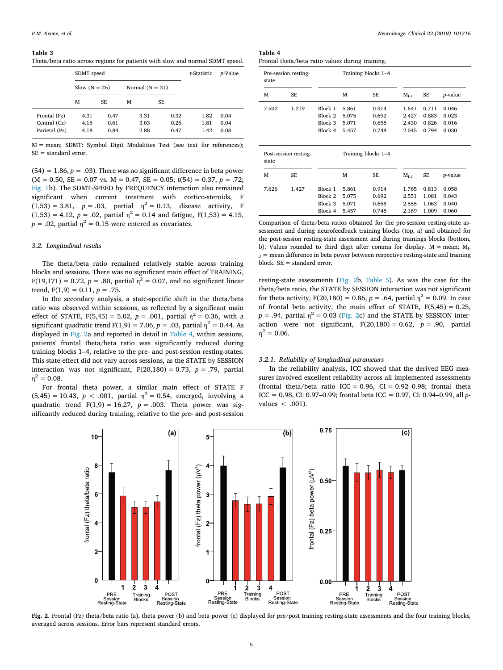#### <span id="page-4-0"></span>**Table 3**

Theta/beta ratio across regions for patients with slow and normal SDMT speed.

|               | SDMT speed      |      | t-Statistic       | p-Value   |      |      |
|---------------|-----------------|------|-------------------|-----------|------|------|
|               | Slow $(N = 25)$ |      | Normal $(N = 31)$ |           |      |      |
|               | М               | SE   | M                 | <b>SE</b> |      |      |
| Frontal (Fz)  | 4.31            | 0.47 | 3.31              | 0.32      | 1.82 | 0.04 |
| Central (Cz)  | 4.15            | 0.61 | 3.03              | 0.26      | 1.81 | 0.04 |
| Parietal (Pz) | 4.18            | 0.84 | 2.88              | 0.47      | 1.42 | 0.08 |

M = mean; SDMT: Symbol Digit Modalities Test (see text for references); SE = standard error.

 $(54) = 1.86, p = .03$ . There was no significant difference in beta power  $(M = 0.50, SE = 0.07$  vs.  $M = 0.47, SE = 0.05$ ;  $t(54) = 0.37, p = .72$ ; [Fig. 1](#page-3-0)b). The SDMT-SPEED by FREQUENCY interaction also remained signifcant when current treatment with cortico-steroids, F  $(1,53) = 3.81$ ,  $p = .03$ , partial  $\eta^2 = 0.13$ , disease activity, F  $(1,53) = 4.12$ ,  $p = .02$ , partial  $\eta^2 = 0.14$  and fatigue,  $F(1,53) = 4.15$ ,  $p = .02$ , partial  $\eta^2 = 0.15$  were entered as covariates.

### *3.2. Longitudinal results*

The theta/beta ratio remained relatively stable across training blocks and sessions. There was no signifcant main efect of TRAINING,  $F(19,171) = 0.72$ ,  $p = .80$ , partial  $\eta^2 = 0.07$ , and no significant linear trend,  $F(1,9) = 0.11$ ,  $p = .75$ .

In the secondary analysis, a state-specifc shift in the theta/beta ratio was observed within sessions, as reflected by a significant main effect of STATE,  $F(5,45) = 5.02$ ,  $p = .001$ , partial  $\eta^2 = 0.36$ , with a significant quadratic trend F(1,9) = 7.06,  $p = .03$ , partial  $\eta^2 = 0.44$ . As displayed in [Fig. 2a](#page-4-1) and reported in detail in [Table 4](#page-4-2), within sessions, patients' frontal theta/beta ratio was significantly reduced during training blocks 1–4, relative to the pre- and post-session resting-states. This state-efect did not vary across sessions, as the STATE by SESSION interaction was not significant,  $F(20,180) = 0.73$ ,  $p = .79$ , partial  $\eta^2 = 0.08$ .

For frontal theta power, a similar main effect of STATE F  $(5,45) = 10.43$ ,  $p < .001$ , partial  $\eta^2 = 0.54$ , emerged, involving a quadratic trend  $F(1,9) = 16.27$ ,  $p = .003$ . Theta power was signifcantly reduced during training, relative to the pre- and post-session

<span id="page-4-2"></span>

| Table 4 |                                                  |  |  |
|---------|--------------------------------------------------|--|--|
|         | Frontal theta/beta ratio values during training. |  |  |

| Pre-session resting-<br>state |                       |         | Training blocks 1-4 |                     |           |       |                 |
|-------------------------------|-----------------------|---------|---------------------|---------------------|-----------|-------|-----------------|
| м                             | SE                    |         | М                   | SE                  | $M_{I-J}$ | SE    | <i>p</i> -value |
| 7.502                         | 1.219                 | Block 1 | 5.861               | 0.914               | 1.641     | 0.711 | 0.046           |
|                               |                       | Block 2 | 5.075               | 0.692               | 2.427     | 0.883 | 0.023           |
|                               |                       | Block 3 | 5.071               | 0.658               | 2.430     | 0.826 | 0.016           |
|                               |                       | Block 4 | 5.457               | 0.748               | 2.045     | 0.794 | 0.030           |
| state                         | Post-session resting- |         |                     | Training blocks 1-4 |           |       |                 |
| М                             | SE                    |         | М                   | SE                  | $M_{I-J}$ | SE    | <i>p</i> -value |
| 7.626                         | 1.427                 | Block 1 | 5.861               | 0.914               | 1.765     | 0.813 | 0.058           |
|                               |                       | Block 2 | 5.075               | 0.692               | 2.551     | 1.081 | 0.043           |
|                               |                       | Block 3 | 5.071               | 0.658               | 2.555     | 1.063 | 0.040           |
|                               |                       | Block 4 | 5.457               | 0.748               | 2.169     | 1.009 | 0.060           |

Comparison of theta/beta ratios obtained for the pre-session resting-state assessment and during neurofeedback training blocks (top, a) and obtained for the post-session resting-state assessment and during trainings blocks (bottom, b). Values rounded to third digit after comma for display.  $M = mean$ ;  $M<sub>L</sub>$  $J =$  mean difference in beta power between respective resting-state and training block. SE = standard error.

resting-state assessments ([Fig. 2](#page-4-1)b, [Table 5](#page-5-0)). As was the case for the theta/beta ratio, the STATE by SESSION interaction was not signifcant for theta activity,  $F(20,180) = 0.86$ ,  $p = .64$ , partial  $\eta^2 = 0.09$ . In case of frontal beta activity, the main effect of STATE,  $F(5,45) = 0.25$ ,  $p = .94$ , partial  $\eta^2 = 0.03$  ([Fig. 2](#page-4-1)c) and the STATE by SESSION interaction were not significant,  $F(20,180) = 0.62$ ,  $p = .90$ , partial  $\eta^2 = 0.06$ .

#### *3.2.1. Reliability of longitudinal parameters*

In the reliability analysis, ICC showed that the derived EEG measures involved excellent reliability across all implemented assessments (frontal theta/beta ratio ICC =  $0.96$ , CI =  $0.92-0.98$ ; frontal theta ICC = 0.98, CI: 0.97–0.99; frontal beta ICC = 0.97, CI: 0.94–0.99, all *p*values < .001).

<span id="page-4-1"></span>

**Fig. 2.** Frontal (Fz) theta/beta ratio (a), theta power (b) and beta power (c) displayed for pre/post training resting-state assessments and the four training blocks, averaged across sessions. Error bars represent standard errors.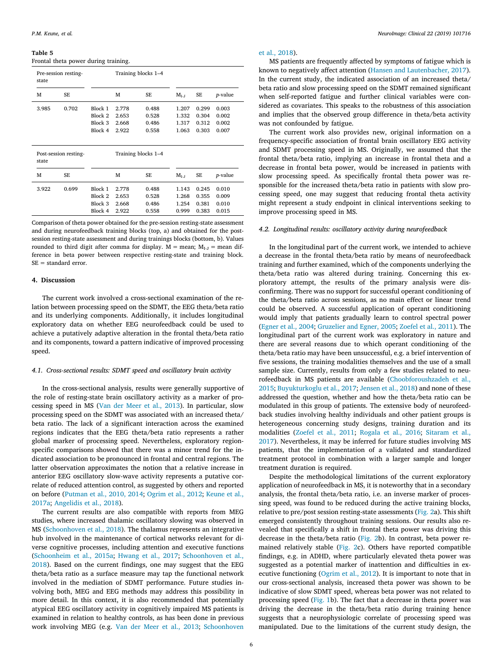<span id="page-5-0"></span>**Table 5** Frontal theta power during training.

| state                          | Training blocks 1-4<br>Pre-session resting- |                                          |                                  |                                  |                                  |                                  |                                  |
|--------------------------------|---------------------------------------------|------------------------------------------|----------------------------------|----------------------------------|----------------------------------|----------------------------------|----------------------------------|
| M                              | <b>SE</b>                                   |                                          | М                                | <b>SE</b>                        | $M_{I-J}$                        | SE                               | <i>p</i> -value                  |
| 3.985                          | 0.702                                       | Block 1<br>Block 2<br>Block 3<br>Block 4 | 2.778<br>2.653<br>2.668<br>2.922 | 0.488<br>0.528<br>0.486<br>0.558 | 1.207<br>1.332<br>1.317<br>1.063 | 0.299<br>0.304<br>0.312<br>0.303 | 0.003<br>0.002<br>0.002<br>0.007 |
| Post-session resting-<br>state |                                             |                                          |                                  | Training blocks 1-4              |                                  |                                  |                                  |
| M                              | <b>SE</b>                                   |                                          | М                                | <b>SE</b>                        | $M_{I-J}$                        | SE                               | <i>p</i> -value                  |
| 3.922                          | 0.699                                       | Block 1<br>Block 2<br>Block 3<br>Block 4 | 2.778<br>2.653<br>2.668<br>2.922 | 0.488<br>0.528<br>0.486<br>0.558 | 1.143<br>1.268<br>1.254<br>0.999 | 0.245<br>0.355<br>0.381<br>0.383 | 0.010<br>0.009<br>0.010<br>0.015 |

Comparison of theta power obtained for the pre-session resting-state assessment and during neurofeedback training blocks (top, a) and obtained for the postsession resting-state assessment and during trainings blocks (bottom, b). Values rounded to third digit after comma for display.  $M =$  mean;  $M_{I-J} =$  mean difference in beta power between respective resting-state and training block. SE = standard error.

#### **4. Discussion**

The current work involved a cross-sectional examination of the relation between processing speed on the SDMT, the EEG theta/beta ratio and its underlying components. Additionally, it includes longitudinal exploratory data on whether EEG neurofeedback could be used to achieve a putatively adaptive alteration in the frontal theta/beta ratio and its components, toward a pattern indicative of improved processing speed.

### *4.1. Cross-sectional results: SDMT speed and oscillatory brain activity*

In the cross-sectional analysis, results were generally supportive of the role of resting-state brain oscillatory activity as a marker of processing speed in MS [\(Van der Meer et al., 2013](#page-7-8)). In particular, slow processing speed on the SDMT was associated with an increased theta/ beta ratio. The lack of a significant interaction across the examined regions indicates that the EEG theta/beta ratio represents a rather global marker of processing speed. Nevertheless, exploratory regionspecific comparisons showed that there was a minor trend for the indicated association to be pronounced in frontal and central regions. The latter observation approximates the notion that a relative increase in anterior EEG oscillatory slow-wave activity represents a putative correlate of reduced attention control, as suggested by others and reported on before ([Putman et al., 2010, 2014;](#page-7-13) [Ogrim et al., 2012;](#page-7-35) [Keune et al.,](#page-7-12) [2017a;](#page-7-12) [Angelidis et al., 2018\)](#page-6-7).

The current results are also compatible with reports from MEG studies, where increased thalamic oscillatory slowing was observed in MS [\(Schoonhoven et al., 2018\)](#page-7-9). The thalamus represents an integrative hub involved in the maintenance of cortical networks relevant for diverse cognitive processes, including attention and executive functions ([Schoonheim et al., 2015a](#page-7-11); [Hwang et al., 2017](#page-7-10); [Schoonhoven et al.,](#page-7-9) [2018\)](#page-7-9). Based on the current fndings, one may suggest that the EEG theta/beta ratio as a surface measure may tap the functional network involved in the mediation of SDMT performance. Future studies involving both, MEG and EEG methods may address this possibility in more detail. In this context, it is also recommended that potentially atypical EEG oscillatory activity in cognitively impaired MS patients is examined in relation to healthy controls, as has been done in previous work involving MEG (e.g. [Van der Meer et al., 2013](#page-7-8); [Schoonhoven](#page-7-9)

#### [et al., 2018](#page-7-9)).

MS patients are frequently afected by symptoms of fatigue which is known to negatively afect attention [\(Hansen and Lautenbacher, 2017](#page-6-18)). In the current study, the indicated association of an increased theta/ beta ratio and slow processing speed on the SDMT remained signifcant when self-reported fatigue and further clinical variables were considered as covariates. This speaks to the robustness of this association and implies that the observed group diference in theta/beta activity was not confounded by fatigue.

The current work also provides new, original information on a frequency-specifc association of frontal brain oscillatory EEG activity and SDMT processing speed in MS. Originally, we assumed that the frontal theta/beta ratio, implying an increase in frontal theta and a decrease in frontal beta power, would be increased in patients with slow processing speed. As specifically frontal theta power was responsible for the increased theta/beta ratio in patients with slow processing speed, one may suggest that reducing frontal theta activity might represent a study endpoint in clinical interventions seeking to improve processing speed in MS.

## *4.2. Longitudinal results: oscillatory activity during neurofeedback*

In the longitudinal part of the current work, we intended to achieve a decrease in the frontal theta/beta ratio by means of neurofeedback training and further examined, which of the components underlying the theta/beta ratio was altered during training. Concerning this exploratory attempt, the results of the primary analysis were disconfrming. There was no support for successful operant conditioning of the theta/beta ratio across sessions, as no main efect or linear trend could be observed. A successful application of operant conditioning would imply that patients gradually learn to control spectral power ([Egner et al., 2004;](#page-6-8) [Gruzelier and Egner, 2005;](#page-6-9) [Zoefel et al., 2011](#page-7-31)). The longitudinal part of the current work was exploratory in nature and there are several reasons due to which operant conditioning of the theta/beta ratio may have been unsuccessful, e.g. a brief intervention of fve sessions, the training modalities themselves and the use of a small sample size. Currently, results from only a few studies related to neurofeedback in MS patients are available ([Choobforoushzadeh et al.,](#page-6-13) [2015;](#page-6-13) [Buyukturkoglu et al., 2017](#page-6-14); [Jensen et al., 2018](#page-7-36)) and none of these addressed the question, whether and how the theta/beta ratio can be modulated in this group of patients. The extensive body of neurofeedback studies involving healthy individuals and other patient groups is heterogeneous concerning study designs, training duration and its modalities [\(Zoefel et al., 2011;](#page-7-31) [Rogala et al., 2016](#page-7-24); [Sitaram et al.,](#page-7-37) [2017\)](#page-7-37). Nevertheless, it may be inferred for future studies involving MS patients, that the implementation of a validated and standardized treatment protocol in combination with a larger sample and longer treatment duration is required.

Despite the methodological limitations of the current exploratory application of neurofeedback in MS, it is noteworthy that in a secondary analysis, the frontal theta/beta ratio, i.e. an inverse marker of processing speed, was found to be reduced during the active training blocks, relative to pre/post session resting-state assessments ([Fig. 2](#page-4-1)a). This shift emerged consistently throughout training sessions. Our results also revealed that specifcally a shift in frontal theta power was driving this decrease in the theta/beta ratio [\(Fig. 2b](#page-4-1)). In contrast, beta power remained relatively stable ([Fig. 2](#page-4-1)c). Others have reported compatible fndings, e.g. in ADHD, where particularly elevated theta power was suggested as a potential marker of inattention and difficulties in executive functioning [\(Ogrim et al., 2012\)](#page-7-35). It is important to note that in our cross-sectional analysis, increased theta power was shown to be indicative of slow SDMT speed, whereas beta power was not related to processing speed [\(Fig. 1](#page-3-0)b). The fact that a decrease in theta power was driving the decrease in the theta/beta ratio during training hence suggests that a neurophysiologic correlate of processing speed was manipulated. Due to the limitations of the current study design, the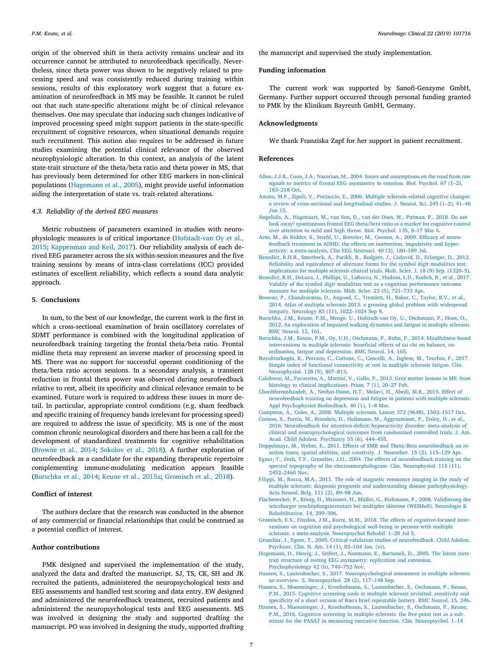origin of the observed shift in theta activity remains unclear and its occurrence cannot be attributed to neurofeedback specifcally. Nevertheless, since theta power was shown to be negatively related to processing speed and was consistently reduced during training within sessions, results of this exploratory work suggest that a future examination of neurofeedback in MS may be feasible. It cannot be ruled out that such state-specifc alterations might be of clinical relevance themselves. One may speculate that inducing such changes indicative of improved processing speed might support patients in the state-specifc recruitment of cognitive resources, when situational demands require such recruitment. This notion also requires to be addressed in future studies examining the potential clinical relevance of the observed neurophysiologic alteration. In this context, an analysis of the latent state-trait structure of the theta/beta ratio and theta power in MS, that has previously been determined for other EEG markers in non-clinical populations [\(Hagemann et al., 2005](#page-6-19)), might provide useful information aiding the interpretation of state vs. trait-related alterations.

#### *4.3. Reliability of the derived EEG measures*

Metric robustness of parameters examined in studies with neurophysiologic measures is of critical importance [\(Hofstadt-van Oy et al.,](#page-7-32) [2015;](#page-7-32) [Kappenman and Keil, 2017](#page-7-34)). Our reliability analysis of each derived EEG parameter across the six within-session measures and the fve training sessions by means of intra-class correlations (ICC) provided estimates of excellent reliability, which refects a sound data analytic approach.

### **5. Conclusions**

In sum, to the best of our knowledge, the current work is the frst in which a cross-sectional examination of brain oscillatory correlates of SDMT performance is combined with the longitudinal application of neurofeedback training targeting the frontal theta/beta ratio. Frontal midline theta may represent an inverse marker of processing speed in MS. There was no support for successful operant conditioning of the theta/beta ratio across sessions. In a secondary analysis, a transient reduction in frontal theta power was observed during neurofeedback relative to rest, albeit its specificity and clinical relevance remain to be examined. Future work is required to address these issues in more detail. In particular, appropriate control conditions (e.g. sham feedback and specifc training of frequency bands irrelevant for processing speed) are required to address the issue of specificity. MS is one of the most common chronic neurological disorders and there has been a call for the development of standardized treatments for cognitive rehabilitation ([Browne et al., 2014](#page-6-20); [Sokolov et al., 2018\)](#page-7-15). A further exploration of neurofeedback as a candidate for the expanding therapeutic repertoire complementing immune-modulating medication appears feasible ([Burschka et al., 2014](#page-6-21); [Keune et al., 2015a;](#page-7-0) [Gromisch et al., 2018\)](#page-6-22).

## **Confict of interest**

The authors declare that the research was conducted in the absence of any commercial or fnancial relationships that could be construed as a potential confict of interest.

# **Author contributions**

PMK designed and supervised the implementation of the study, analyzed the data and drafted the manuscript. SJ, TS, CK, SH and JK recruited the patients, administered the neuropsychological tests and EEG assessments and handled test scoring and data entry. EW designed and administered the neurofeedback treatment, recruited patients and administered the neuropsychological tests and EEG assessments. MS was involved in designing the study and supported drafting the manuscript. PO was involved in designing the study, supported drafting the manuscript and supervised the study implementation.

### **Funding information**

The current work was supported by Sanofi-Genzyme GmbH, Germany. Further support occurred through personal funding granted to PMK by the Klinikum Bayreuth GmbH, Germany.

## **Acknowledgments**

We thank Franziska Zapf for her support in patient recruitment.

#### **References**

- <span id="page-6-17"></span>[Allen, J.J.B., Coan, J.A., Nazarian, M., 2004. Issues and assumptions on the road from raw](http://refhub.elsevier.com/S2213-1582(19)30066-X/rf0005) [signals to metrics of frontal EEG asymmetry in emotion. Biol. Psychol. 67 \(1–2\),](http://refhub.elsevier.com/S2213-1582(19)30066-X/rf0005) [183–218 Oct](http://refhub.elsevier.com/S2213-1582(19)30066-X/rf0005).
- <span id="page-6-2"></span>[Amato, M.P., Zipoli, V., Portaccio, E., 2006. Multiple sclerosis-related cognitive changes:](http://refhub.elsevier.com/S2213-1582(19)30066-X/rf0010) [a review of cross-sectional and longitudinal studies. J. Neurol. Sci. 245 \(1–2\), 41–46](http://refhub.elsevier.com/S2213-1582(19)30066-X/rf0010) [Jun 15](http://refhub.elsevier.com/S2213-1582(19)30066-X/rf0010).
- <span id="page-6-7"></span>[Angelidis, A., Hagenaars, M., van Son, D., van der Does, W., Putman, P., 2018. Do not](http://refhub.elsevier.com/S2213-1582(19)30066-X/rf0015) [look away! spontaneous frontal EEG theta/beta ratio as a marker for cognitive control](http://refhub.elsevier.com/S2213-1582(19)30066-X/rf0015) [over attention to mild and high threat. Biol. Psychol. 135, 8–17 Mar 5.](http://refhub.elsevier.com/S2213-1582(19)30066-X/rf0015)
- <span id="page-6-10"></span>Arns, M., de Ridder, S., Strehl, U., Breteler, M., Coenen, A., 2009. Efficacy of neuro[feedback treatment in ADHD: the efects on inattention, impulsivity and hyper](http://refhub.elsevier.com/S2213-1582(19)30066-X/rf0020)[activity: a meta-analysis. Clin EEG Neurosci. 40 \(3\), 180–189 Jul.](http://refhub.elsevier.com/S2213-1582(19)30066-X/rf0020)
- <span id="page-6-16"></span>[Benedict, R.H.B., Smerbeck, A., Parikh, R., Rodgers, J., Cadavid, D., Erlanger, D., 2012.](http://refhub.elsevier.com/S2213-1582(19)30066-X/rf0025) [Reliability and equivalence of alternate forms for the symbol digit modalities test:](http://refhub.elsevier.com/S2213-1582(19)30066-X/rf0025) [implications for multiple sclerosis clinical trials. Mult. Scler. J. 18 \(9\) Sep. \(1320–5\).](http://refhub.elsevier.com/S2213-1582(19)30066-X/rf0025)
- <span id="page-6-6"></span>[Benedict, R.H., DeLuca, J., Phillips, G., LaRocca, N., Hudson, L.D., Rudick, R., et al., 2017.](http://refhub.elsevier.com/S2213-1582(19)30066-X/rf0030) [Validity of the symbol digit modalities test as a cognition performance outcome](http://refhub.elsevier.com/S2213-1582(19)30066-X/rf0030) [measure for multiple sclerosis. Mult. Scler. 23 \(5\), 721–733 Apr](http://refhub.elsevier.com/S2213-1582(19)30066-X/rf0030).
- <span id="page-6-20"></span>[Browne, P., Chandraratna, D., Angood, C., Tremlett, H., Baker, C., Taylor, B.V., et al.,](http://refhub.elsevier.com/S2213-1582(19)30066-X/rf0035) [2014. Atlas of multiple sclerosis 2013: a growing global problem with widespread](http://refhub.elsevier.com/S2213-1582(19)30066-X/rf0035) [inequity. Neurology 83 \(11\), 1022–1024 Sep 9](http://refhub.elsevier.com/S2213-1582(19)30066-X/rf0035).
- <span id="page-6-1"></span>[Burschka, J.M., Keune, P.M., Menge, U., Hofstadt-van Oy, U., Oschmann, P., Hoos, O.,](http://refhub.elsevier.com/S2213-1582(19)30066-X/rf0040) [2012. An exploration of impaired walking dynamics and fatigue in multiple sclerosis.](http://refhub.elsevier.com/S2213-1582(19)30066-X/rf0040) [BMC Neurol. 12, 161](http://refhub.elsevier.com/S2213-1582(19)30066-X/rf0040).
- <span id="page-6-21"></span>[Burschka, J.M., Keune, P.M., Oy, U.H., Oschmann, P., Kuhn, P., 2014. Mindfulness-based](http://refhub.elsevier.com/S2213-1582(19)30066-X/rf0045) interventions in multiple sclerosis: beneficial effects of tai chi on balance, co[ordination, fatigue and depression. BMC Neurol. 14, 165.](http://refhub.elsevier.com/S2213-1582(19)30066-X/rf0045)
- <span id="page-6-14"></span>[Buyukturkoglu, K., Porcaro, C., Cottone, C., Cancelli, A., Inglese, M., Tecchio, F., 2017.](http://refhub.elsevier.com/S2213-1582(19)30066-X/rf0050) [Simple index of functional connectivity at rest in multiple sclerosis fatigue. Clin.](http://refhub.elsevier.com/S2213-1582(19)30066-X/rf0050) [Neurophysiol. 128 \(5\), 807–813](http://refhub.elsevier.com/S2213-1582(19)30066-X/rf0050).
- <span id="page-6-5"></span>[Calabrese, M., Favaretto, A., Martini, V., Gallo, P., 2013. Grey matter lesions in MS: from](http://refhub.elsevier.com/S2213-1582(19)30066-X/rf0055) [histology to clinical implications. Prion. 7 \(1\), 20–27 Feb](http://refhub.elsevier.com/S2213-1582(19)30066-X/rf0055).
- <span id="page-6-13"></span>[Choobforoushzadeh, A., Neshat-Doost, H.T., Molavi, H., Abedi, M.R., 2015. Efect of](http://refhub.elsevier.com/S2213-1582(19)30066-X/rf0060) [neurofeedback training on depression and fatigue in patients with multiple sclerosis.](http://refhub.elsevier.com/S2213-1582(19)30066-X/rf0060) [Appl Psychophysiol Biofeedback. 40 \(1\), 1–8 Mar.](http://refhub.elsevier.com/S2213-1582(19)30066-X/rf0060)
- <span id="page-6-0"></span>[Compston, A., Coles, A., 2008. Multiple sclerosis. Lancet 372 \(9648\), 1502–1517 Oct.](http://refhub.elsevier.com/S2213-1582(19)30066-X/rf0065)
- <span id="page-6-11"></span>[Cortese, S., Ferrin, M., Brandeis, D., Holtmann, M., Aggensteiner, P., Daley, D., et al.,](http://refhub.elsevier.com/S2213-1582(19)30066-X/rf0070) 2016. Neurofeedback for attention-deficit/hyperactivity disorder: meta-analysis of [clinical and neuropsychological outcomes from randomized controlled trials. J. Am.](http://refhub.elsevier.com/S2213-1582(19)30066-X/rf0070) [Acad. Child Adolesc. Psychiatry 55 \(6\), 444–455](http://refhub.elsevier.com/S2213-1582(19)30066-X/rf0070).
- <span id="page-6-12"></span>[Doppelmayr, M., Weber, E., 2011. Efects of SMR and Theta/Beta neurofeedback on re](http://refhub.elsevier.com/S2213-1582(19)30066-X/rf0075)[action times, spatial abilities, and creativity. J. Neurother. 15 \(2\), 115–129 Apr.](http://refhub.elsevier.com/S2213-1582(19)30066-X/rf0075)
- <span id="page-6-8"></span>Egner, T., Zech, T.F., Gruzelier, J.H., 2004. The effects of neurofeedback training on the [spectral topography of the electroencephalogram. Clin. Neurophysiol. 115 \(11\),](http://refhub.elsevier.com/S2213-1582(19)30066-X/rf0080) [2452–2460 Nov](http://refhub.elsevier.com/S2213-1582(19)30066-X/rf0080).
- <span id="page-6-4"></span>[Filippi, M., Rocca, M.A., 2011. The role of magnetic resonance imaging in the study of](http://refhub.elsevier.com/S2213-1582(19)30066-X/rf0085) [multiple sclerosis: diagnosis prognosis and understanding disease pathophysiology.](http://refhub.elsevier.com/S2213-1582(19)30066-X/rf0085) [Acta Neurol. Belg. 111 \(2\), 89–98 Jun.](http://refhub.elsevier.com/S2213-1582(19)30066-X/rf0085)
- <span id="page-6-15"></span>[Flachenecker, P., König, H., Meissner, H., Müller, G., Riekmann, P., 2008. Validierung des](http://refhub.elsevier.com/S2213-1582(19)30066-X/rf0090) [würzburger erschöpfungsinventars bei multipler sklerose \(WEIMuS\). Neurologie &](http://refhub.elsevier.com/S2213-1582(19)30066-X/rf0090) [Rehabilitation. 14, 299–306](http://refhub.elsevier.com/S2213-1582(19)30066-X/rf0090).
- <span id="page-6-22"></span>[Gromisch, E.S., Fiszdon, J.M., Kurtz, M.M., 2018. The efects of cognitive-focused inter](http://refhub.elsevier.com/S2213-1582(19)30066-X/rf0095)[ventions on cognition and psychological well-being in persons with multiple](http://refhub.elsevier.com/S2213-1582(19)30066-X/rf0095) [sclerosis: a meta-analysis. Neuropsychol Rehabil. 1–20 Jul 5](http://refhub.elsevier.com/S2213-1582(19)30066-X/rf0095).
- <span id="page-6-9"></span>[Gruzelier, J., Egner, T., 2005. Critical validation studies of neurofeedback. Child Adolesc.](http://refhub.elsevier.com/S2213-1582(19)30066-X/rf0100) [Psychiatr. Clin. N. Am. 14 \(1\), 83–104 Jan. \(vi\).](http://refhub.elsevier.com/S2213-1582(19)30066-X/rf0100)
- <span id="page-6-19"></span>[Hagemann, D., Hewig, J., Seifert, J., Naumann, E., Bartussek, D., 2005. The latent state](http://refhub.elsevier.com/S2213-1582(19)30066-X/rf0105)[trait structure of resting EEG asymmetry: replication and extension.](http://refhub.elsevier.com/S2213-1582(19)30066-X/rf0105) [Psychophysiology 42 \(6\), 740–752 Nov.](http://refhub.elsevier.com/S2213-1582(19)30066-X/rf0105)
- <span id="page-6-18"></span>[Hansen, S., Lautenbacher, S., 2017. Neuropsychological assessment in multiple sclerosis:](http://refhub.elsevier.com/S2213-1582(19)30066-X/rf0110) [an overview. Z. Neuropsychol. 28 \(2\), 117–148 Sep](http://refhub.elsevier.com/S2213-1582(19)30066-X/rf0110).
- <span id="page-6-3"></span>[Hansen, S., Muenssinger, J., Kronhofmann, S., Lautenbacher, S., Oschmann, P., Keune,](http://refhub.elsevier.com/S2213-1582(19)30066-X/rf0115) [P.M., 2015. Cognitive screening tools in multiple sclerosis revisited: sensitivity and](http://refhub.elsevier.com/S2213-1582(19)30066-X/rf0115) specificity of a short version of Rao's brief repeatable battery. BMC Neurol. 15, 246.
- [Hansen, S., Muenssinger, J., Kronhofmann, S., Lautenbacher, S., Oschmann, P., Keune,](http://refhub.elsevier.com/S2213-1582(19)30066-X/rf0120) P.M., 2016. Cognitive screening in multiple sclerosis: the five-point test as a sub[stitute for the PASAT in measuring executive function. Clin. Neuropsychol. 1–14](http://refhub.elsevier.com/S2213-1582(19)30066-X/rf0120)